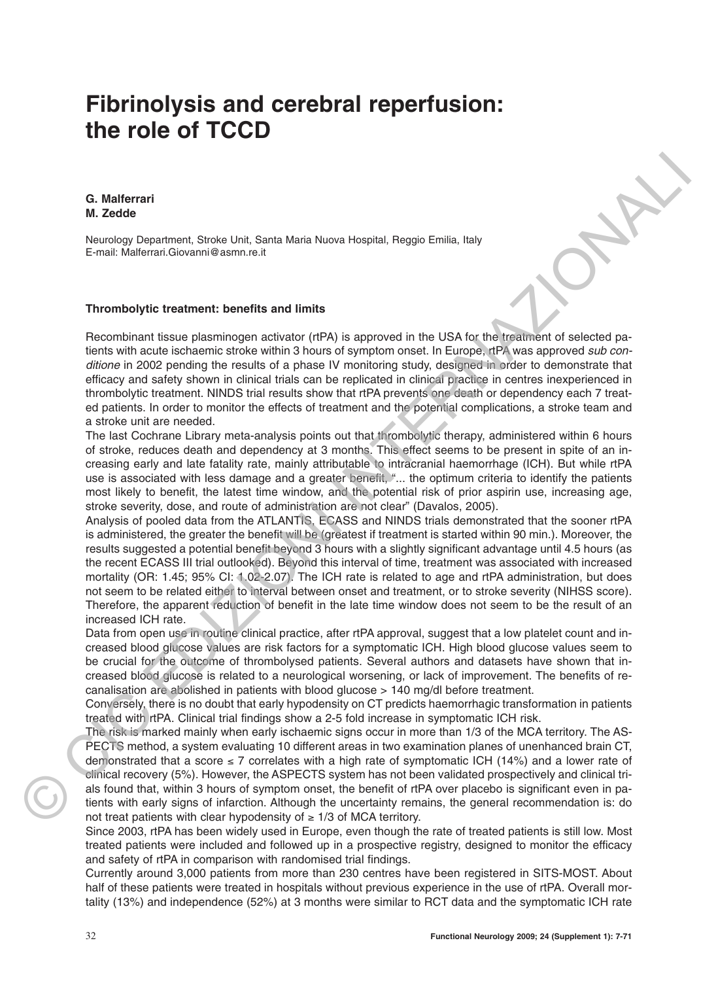# **Fibrinolysis and cerebral reperfusion: the role of TCCD**

**G. Malferrari M. Zedde**

Neurology Department, Stroke Unit, Santa Maria Nuova Hospital, Reggio Emilia, Italy E-mail: Malferrari.Giovanni@asmn.re.it

#### **Thrombolytic treatment: benefits and limits**

Recombinant tissue plasminogen activator (rtPA) is approved in the USA for the treatment of selected patients with acute ischaemic stroke within 3 hours of symptom onset. In Europe, rtPA was approved sub conditione in 2002 pending the results of a phase IV monitoring study, designed in order to demonstrate that efficacy and safety shown in clinical trials can be replicated in clinical practice in centres inexperienced in thrombolytic treatment. NINDS trial results show that rtPA prevents one death or dependency each 7 treated patients. In order to monitor the effects of treatment and the potential complications, a stroke team and a stroke unit are needed.

The last Cochrane Library meta-analysis points out that thrombolytic therapy, administered within 6 hours of stroke, reduces death and dependency at 3 months. This effect seems to be present in spite of an increasing early and late fatality rate, mainly attributable to intracranial haemorrhage (ICH). But while rtPA use is associated with less damage and a greater benefit, "... the optimum criteria to identify the patients most likely to benefit, the latest time window, and the potential risk of prior aspirin use, increasing age, stroke severity, dose, and route of administration are not clear" (Davalos, 2005).

Analysis of pooled data from the ATLANTIS, ECASS and NINDS trials demonstrated that the sooner rtPA is administered, the greater the benefit will be (greatest if treatment is started within 90 min.). Moreover, the results suggested a potential benefit beyond 3 hours with a slightly significant advantage until 4.5 hours (as the recent ECASS III trial outlooked). Beyond this interval of time, treatment was associated with increased mortality (OR: 1.45; 95% CI: 1.02-2.07). The ICH rate is related to age and rtPA administration, but does not seem to be related either to interval between onset and treatment, or to stroke severity (NIHSS score). Therefore, the apparent reduction of benefit in the late time window does not seem to be the result of an increased ICH rate. **G. Malforrant interval of the constrained** the second interval of the second interval of the second interval of the second interval of the second interval of the second interval of the second interval of the second interv

Data from open use in routine clinical practice, after rtPA approval, suggest that a low platelet count and increased blood glucose values are risk factors for a symptomatic ICH. High blood glucose values seem to be crucial for the outcome of thrombolysed patients. Several authors and datasets have shown that increased blood glucose is related to a neurological worsening, or lack of improvement. The benefits of recanalisation are abolished in patients with blood glucose > 140 mg/dl before treatment.

Conversely, there is no doubt that early hypodensity on CT predicts haemorrhagic transformation in patients treated with rtPA. Clinical trial findings show a 2-5 fold increase in symptomatic ICH risk.

The risk is marked mainly when early ischaemic signs occur in more than 1/3 of the MCA territory. The AS-PECTS method, a system evaluating 10 different areas in two examination planes of unenhanced brain CT, demonstrated that a score  $\leq 7$  correlates with a high rate of symptomatic ICH (14%) and a lower rate of clinical recovery (5%). However, the ASPECTS system has not been validated prospectively and clinical trials found that, within 3 hours of symptom onset, the benefit of rtPA over placebo is significant even in patients with early signs of infarction. Although the uncertainty remains, the general recommendation is: do not treat patients with clear hypodensity of  $≥ 1/3$  of MCA territory.

Since 2003, rtPA has been widely used in Europe, even though the rate of treated patients is still low. Most treated patients were included and followed up in a prospective registry, designed to monitor the efficacy and safety of rtPA in comparison with randomised trial findings.

Currently around 3,000 patients from more than 230 centres have been registered in SITS-MOST. About half of these patients were treated in hospitals without previous experience in the use of rtPA. Overall mortality (13%) and independence (52%) at 3 months were similar to RCT data and the symptomatic ICH rate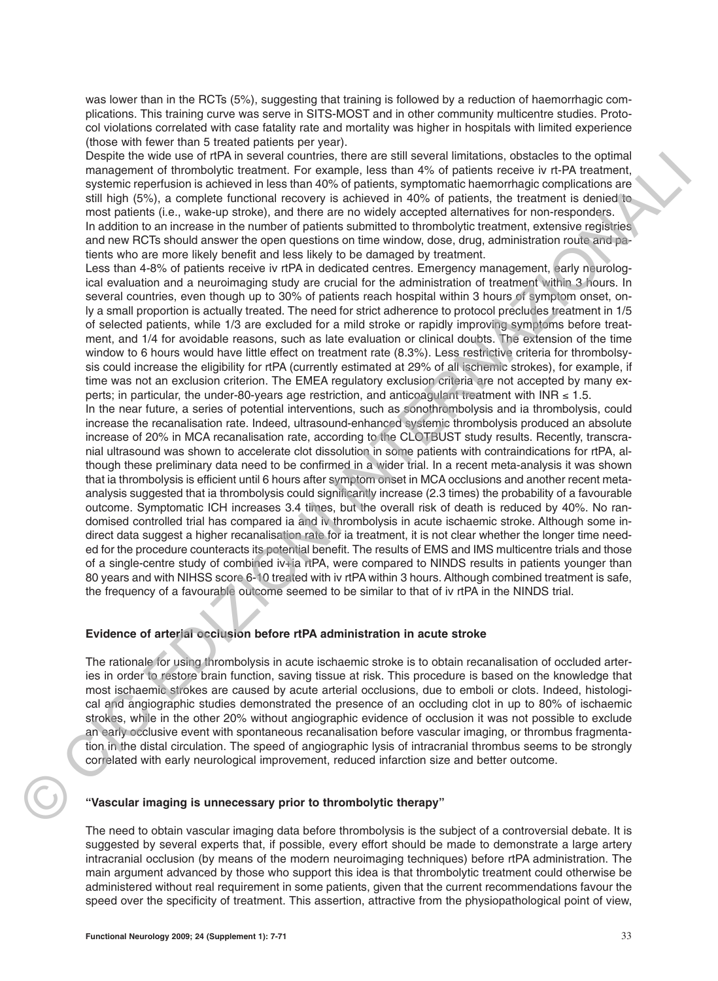was lower than in the RCTs (5%), suggesting that training is followed by a reduction of haemorrhagic complications. This training curve was serve in SITS-MOST and in other community multicentre studies. Protocol violations correlated with case fatality rate and mortality was higher in hospitals with limited experience (those with fewer than 5 treated patients per year).

Despite the wide use of rtPA in several countries, there are still several limitations, obstacles to the optimal management of thrombolytic treatment. For example, less than 4% of patients receive iv rt-PA treatment, systemic reperfusion is achieved in less than 40% of patients, symptomatic haemorrhagic complications are still high (5%), a complete functional recovery is achieved in 40% of patients, the treatment is denied to most patients (i.e., wake-up stroke), and there are no widely accepted alternatives for non-responders. In addition to an increase in the number of patients submitted to thrombolytic treatment, extensive registries and new RCTs should answer the open questions on time window, dose, drug, administration route and patients who are more likely benefit and less likely to be damaged by treatment.

Less than 4-8% of patients receive iv rtPA in dedicated centres. Emergency management, early neurological evaluation and a neuroimaging study are crucial for the administration of treatment within 3 hours. In several countries, even though up to 30% of patients reach hospital within 3 hours of symptom onset, only a small proportion is actually treated. The need for strict adherence to protocol precludes treatment in 1/5 of selected patients, while 1/3 are excluded for a mild stroke or rapidly improving symptoms before treatment, and 1/4 for avoidable reasons, such as late evaluation or clinical doubts. The extension of the time window to 6 hours would have little effect on treatment rate (8.3%). Less restrictive criteria for thrombolsysis could increase the eligibility for rtPA (currently estimated at 29% of all ischemic strokes), for example, if time was not an exclusion criterion. The EMEA regulatory exclusion criteria are not accepted by many experts; in particular, the under-80-years age restriction, and anticoagulant treatment with INR ≤ 1.5.

In the near future, a series of potential interventions, such as sonothrombolysis and ia thrombolysis, could increase the recanalisation rate. Indeed, ultrasound-enhanced systemic thrombolysis produced an absolute increase of 20% in MCA recanalisation rate, according to the CLOTBUST study results. Recently, transcranial ultrasound was shown to accelerate clot dissolution in some patients with contraindications for rtPA, although these preliminary data need to be confirmed in a wider trial. In a recent meta-analysis it was shown that ia thrombolysis is efficient until 6 hours after symptom onset in MCA occlusions and another recent metaanalysis suggested that ia thrombolysis could significantly increase (2.3 times) the probability of a favourable outcome. Symptomatic ICH increases 3.4 times, but the overall risk of death is reduced by 40%. No randomised controlled trial has compared ia and iv thrombolysis in acute ischaemic stroke. Although some indirect data suggest a higher recanalisation rate for ia treatment, it is not clear whether the longer time needed for the procedure counteracts its potential benefit. The results of EMS and IMS multicentre trials and those of a single-centre study of combined iv+ia rtPA, were compared to NINDS results in patients younger than 80 years and with NIHSS score 6-10 treated with iv rtPA within 3 hours. Although combined treatment is safe, the frequency of a favourable outcome seemed to be similar to that of iv rtPA in the NINDS trial. Design to the distribution of the state of the state as a state several interaction constant to the optimal<br>example, and the distribution of the state of the state of the state of the state of the state of the state of the

## **Evidence of arterial occlusion before rtPA administration in acute stroke**

The rationale for using thrombolysis in acute ischaemic stroke is to obtain recanalisation of occluded arteries in order to restore brain function, saving tissue at risk. This procedure is based on the knowledge that most ischaemic strokes are caused by acute arterial occlusions, due to emboli or clots. Indeed, histological and angiographic studies demonstrated the presence of an occluding clot in up to 80% of ischaemic strokes, while in the other 20% without angiographic evidence of occlusion it was not possible to exclude an early occlusive event with spontaneous recanalisation before vascular imaging, or thrombus fragmentation in the distal circulation. The speed of angiographic lysis of intracranial thrombus seems to be strongly correlated with early neurological improvement, reduced infarction size and better outcome.

## **"Vascular imaging is unnecessary prior to thrombolytic therapy"**

The need to obtain vascular imaging data before thrombolysis is the subject of a controversial debate. It is suggested by several experts that, if possible, every effort should be made to demonstrate a large artery intracranial occlusion (by means of the modern neuroimaging techniques) before rtPA administration. The main argument advanced by those who support this idea is that thrombolytic treatment could otherwise be administered without real requirement in some patients, given that the current recommendations favour the speed over the specificity of treatment. This assertion, attractive from the physiopathological point of view,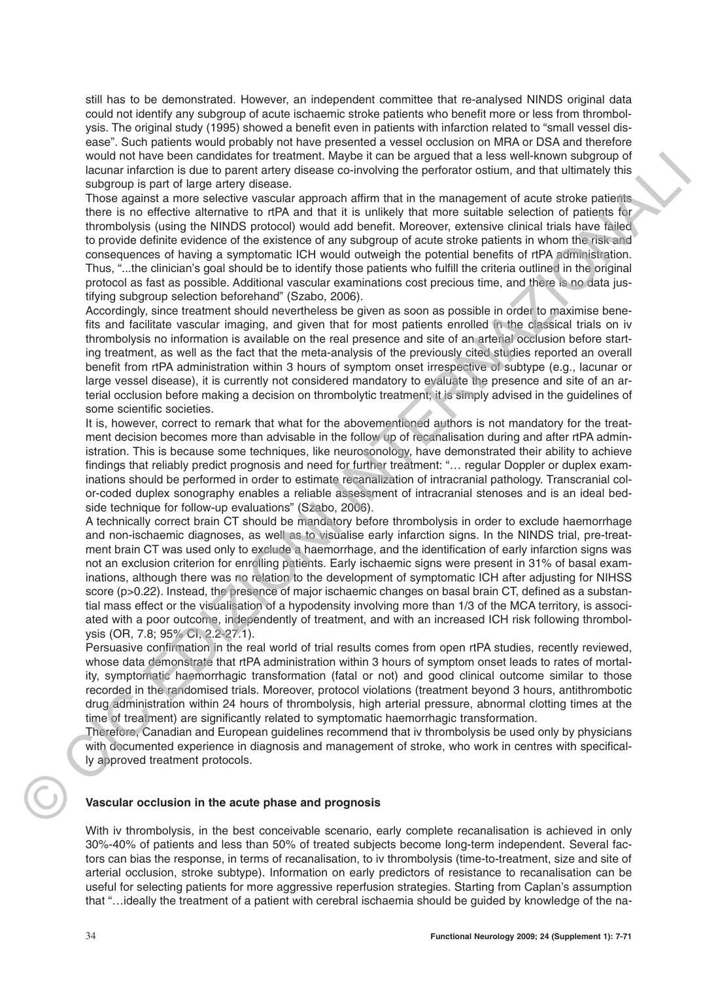still has to be demonstrated. However, an independent committee that re-analysed NINDS original data could not identify any subgroup of acute ischaemic stroke patients who benefit more or less from thrombolysis. The original study (1995) showed a benefit even in patients with infarction related to "small vessel disease". Such patients would probably not have presented a vessel occlusion on MRA or DSA and therefore would not have been candidates for treatment. Maybe it can be argued that a less well-known subgroup of lacunar infarction is due to parent artery disease co-involving the perforator ostium, and that ultimately this subgroup is part of large artery disease.

Those against a more selective vascular approach affirm that in the management of acute stroke patients there is no effective alternative to rtPA and that it is unlikely that more suitable selection of patients for thrombolysis (using the NINDS protocol) would add benefit. Moreover, extensive clinical trials have failed to provide definite evidence of the existence of any subgroup of acute stroke patients in whom the risk and consequences of having a symptomatic ICH would outweigh the potential benefits of rtPA administration. Thus, "...the clinician's goal should be to identify those patients who fulfill the criteria outlined in the original protocol as fast as possible. Additional vascular examinations cost precious time, and there is no data justifying subgroup selection beforehand" (Szabo, 2006).

Accordingly, since treatment should nevertheless be given as soon as possible in order to maximise benefits and facilitate vascular imaging, and given that for most patients enrolled in the classical trials on iv thrombolysis no information is available on the real presence and site of an arterial occlusion before starting treatment, as well as the fact that the meta-analysis of the previously cited studies reported an overall benefit from rtPA administration within 3 hours of symptom onset irrespective of subtype (e.g., lacunar or large vessel disease), it is currently not considered mandatory to evaluate the presence and site of an arterial occlusion before making a decision on thrombolytic treatment; it is simply advised in the guidelines of some scientific societies.

It is, however, correct to remark that what for the abovementioned authors is not mandatory for the treatment decision becomes more than advisable in the follow up of recanalisation during and after rtPA administration. This is because some techniques, like neurosonology, have demonstrated their ability to achieve findings that reliably predict prognosis and need for further treatment: "… regular Doppler or duplex examinations should be performed in order to estimate recanalization of intracranial pathology. Transcranial color-coded duplex sonography enables a reliable assessment of intracranial stenoses and is an ideal bedside technique for follow-up evaluations" (Szabo, 2006).

A technically correct brain CT should be mandatory before thrombolysis in order to exclude haemorrhage and non-ischaemic diagnoses, as well as to visualise early infarction signs. In the NINDS trial, pre-treatment brain CT was used only to exclude a haemorrhage, and the identification of early infarction signs was not an exclusion criterion for enrolling patients. Early ischaemic signs were present in 31% of basal examinations, although there was no relation to the development of symptomatic ICH after adjusting for NIHSS score (p>0.22). Instead, the presence of major ischaemic changes on basal brain CT, defined as a substantial mass effect or the visualisation of a hypodensity involving more than 1/3 of the MCA territory, is associated with a poor outcome, independently of treatment, and with an increased ICH risk following thrombolysis (OR, 7.8; 95% CI, 2.2-27.1). wood in that we have been canceled as the fact that have been a anywel that all easies well-cover as the maximum internal all easies well-cover and the maximum internal all easies well-cover and a maximum internal all easi

Persuasive confirmation in the real world of trial results comes from open rtPA studies, recently reviewed, whose data demonstrate that rtPA administration within 3 hours of symptom onset leads to rates of mortality, symptomatic haemorrhagic transformation (fatal or not) and good clinical outcome similar to those recorded in the randomised trials. Moreover, protocol violations (treatment beyond 3 hours, antithrombotic drug administration within 24 hours of thrombolysis, high arterial pressure, abnormal clotting times at the time of treatment) are significantly related to symptomatic haemorrhagic transformation.

Therefore, Canadian and European guidelines recommend that iv thrombolysis be used only by physicians with documented experience in diagnosis and management of stroke, who work in centres with specifically approved treatment protocols.

## **Vascular occlusion in the acute phase and prognosis**

With iv thrombolysis, in the best conceivable scenario, early complete recanalisation is achieved in only 30%-40% of patients and less than 50% of treated subjects become long-term independent. Several factors can bias the response, in terms of recanalisation, to iv thrombolysis (time-to-treatment, size and site of arterial occlusion, stroke subtype). Information on early predictors of resistance to recanalisation can be useful for selecting patients for more aggressive reperfusion strategies. Starting from Caplan's assumption that "…ideally the treatment of a patient with cerebral ischaemia should be guided by knowledge of the na